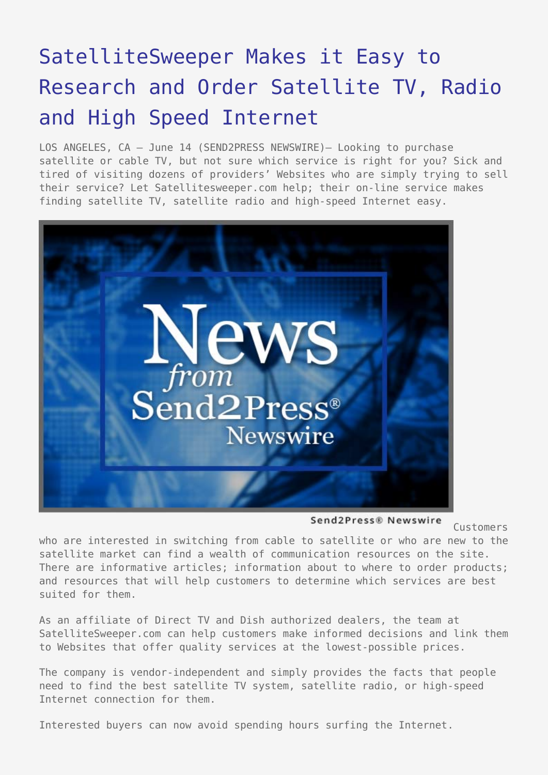## [SatelliteSweeper Makes it Easy to](https://www.send2press.com/wire/2006-06-0614-005/) [Research and Order Satellite TV, Radio](https://www.send2press.com/wire/2006-06-0614-005/) [and High Speed Internet](https://www.send2press.com/wire/2006-06-0614-005/)

LOS ANGELES, CA – June 14 (SEND2PRESS NEWSWIRE)– Looking to purchase satellite or cable TV, but not sure which service is right for you? Sick and tired of visiting dozens of providers' Websites who are simply trying to sell their service? Let Satellitesweeper.com help; their on-line service makes finding satellite TV, satellite radio and high-speed Internet easy.



Send2Press® Newswire

Customers

who are interested in switching from cable to satellite or who are new to the satellite market can find a wealth of communication resources on the site. There are informative articles; information about to where to order products; and resources that will help customers to determine which services are best suited for them.

As an affiliate of Direct TV and Dish authorized dealers, the team at SatelliteSweeper.com can help customers make informed decisions and link them to Websites that offer quality services at the lowest-possible prices.

The company is vendor-independent and simply provides the facts that people need to find the best satellite TV system, satellite radio, or high-speed Internet connection for them.

Interested buyers can now avoid spending hours surfing the Internet.